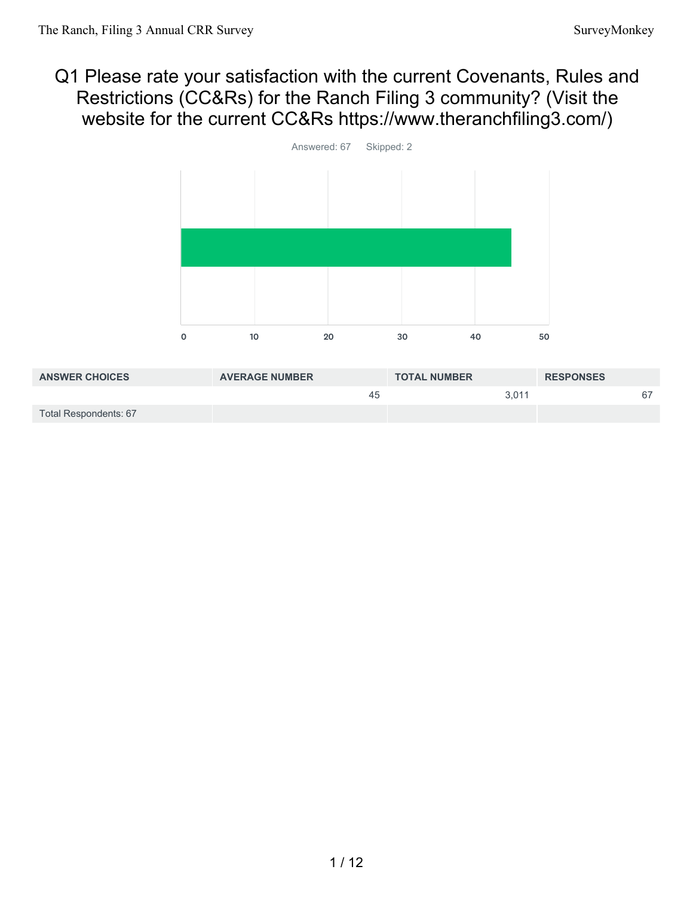#### Q1 Please rate your satisfaction with the current Covenants, Rules and Restrictions (CC&Rs) for the Ranch Filing 3 community? (Visit the website for the current CC&Rs https://www.theranchfiling3.com/)



| <b>ANSWER CHOICES</b> | <b>AVERAGE NUMBER</b> | <b>TOTAL NUMBER</b> | <b>RESPONSES</b> |
|-----------------------|-----------------------|---------------------|------------------|
|                       | 45                    | 3.011               | 67               |
| Total Respondents: 67 |                       |                     |                  |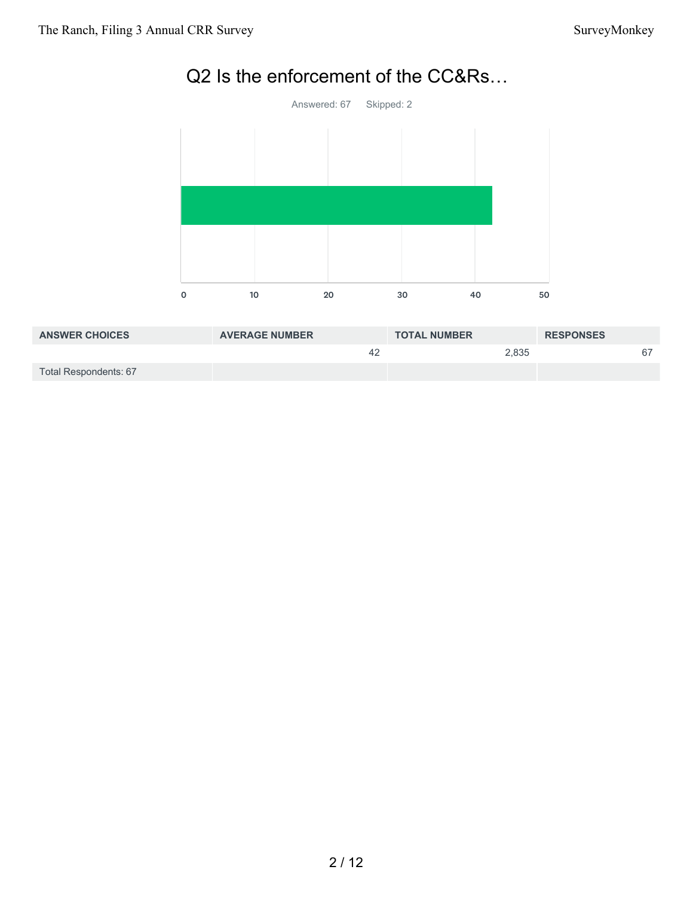

# Q2 Is the enforcement of the CC&Rs…

| <b>ANSWER CHOICES</b> | <b>AVERAGE NUMBER</b> | <b>TOTAL NUMBER</b> | <b>RESPONSES</b> |
|-----------------------|-----------------------|---------------------|------------------|
|                       | 42                    | 2,835               | 67               |
| Total Respondents: 67 |                       |                     |                  |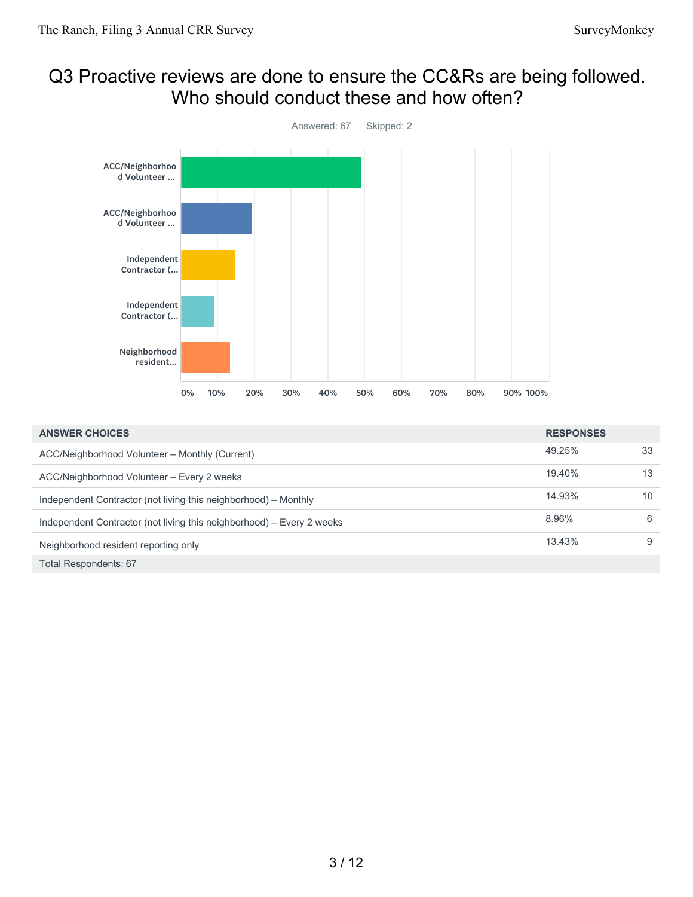#### Q3 Proactive reviews are done to ensure the CC&Rs are being followed. Who should conduct these and how often?



| <b>ANSWER CHOICES</b>                                                 | <b>RESPONSES</b> |    |
|-----------------------------------------------------------------------|------------------|----|
| ACC/Neighborhood Volunteer - Monthly (Current)                        | 49.25%           | 33 |
| ACC/Neighborhood Volunteer - Every 2 weeks                            | 19.40%           | 13 |
| Independent Contractor (not living this neighborhood) – Monthly       | 14.93%           | 10 |
| Independent Contractor (not living this neighborhood) – Every 2 weeks | 8.96%            | 6  |
| Neighborhood resident reporting only                                  | 13.43%           | 9  |
| <b>Total Respondents: 67</b>                                          |                  |    |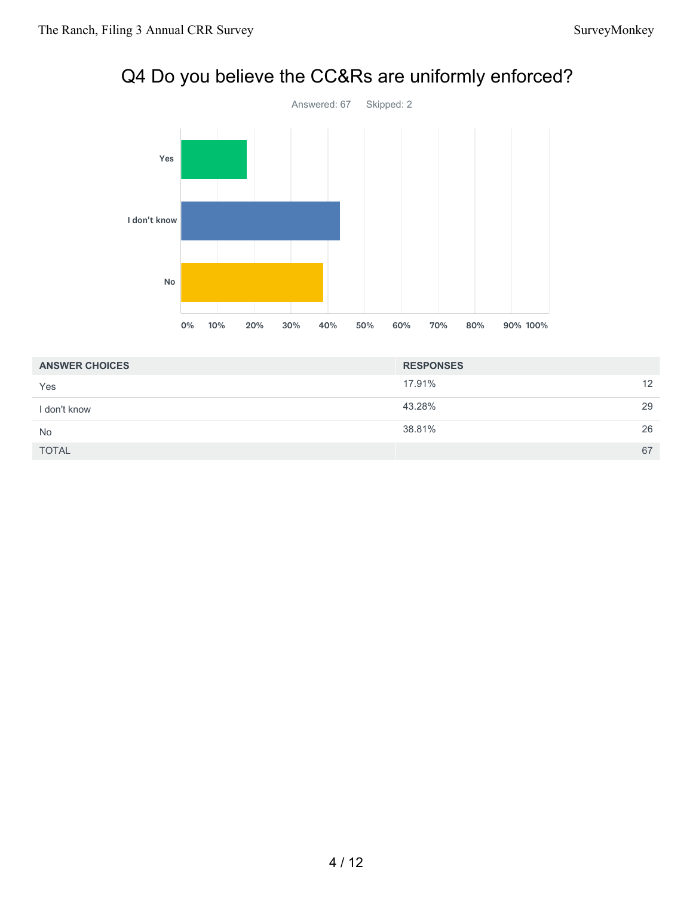# Q4 Do you believe the CC&Rs are uniformly enforced?



| <b>ANSWER CHOICES</b> | <b>RESPONSES</b> |    |
|-----------------------|------------------|----|
| Yes                   | 17.91%           | 12 |
| l don't know          | 43.28%           | 29 |
| No                    | 38.81%           | 26 |
| <b>TOTAL</b>          |                  | 67 |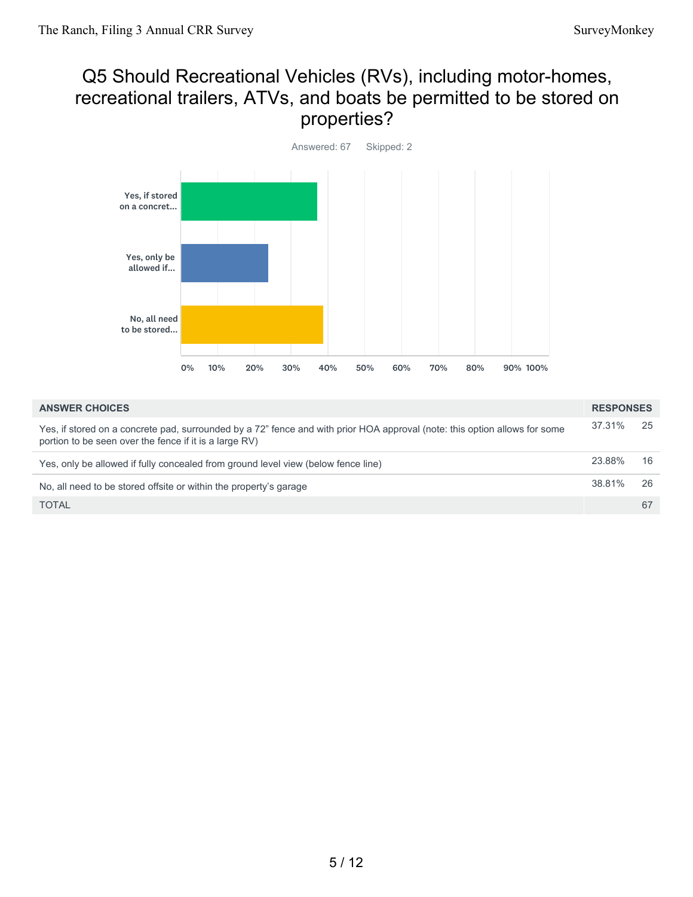## Q5 Should Recreational Vehicles (RVs), including motor-homes, recreational trailers, ATVs, and boats be permitted to be stored on properties?



| <b>ANSWER CHOICES</b>                                                                                                                                                                | <b>RESPONSES</b> |     |
|--------------------------------------------------------------------------------------------------------------------------------------------------------------------------------------|------------------|-----|
| Yes, if stored on a concrete pad, surrounded by a 72" fence and with prior HOA approval (note: this option allows for some<br>portion to be seen over the fence if it is a large RV) | 37.31%           | -25 |
| Yes, only be allowed if fully concealed from ground level view (below fence line)                                                                                                    | 23.88%           | 16  |
| No, all need to be stored offsite or within the property's garage                                                                                                                    | 38.81%           | 26  |
| <b>TOTAL</b>                                                                                                                                                                         |                  | 67  |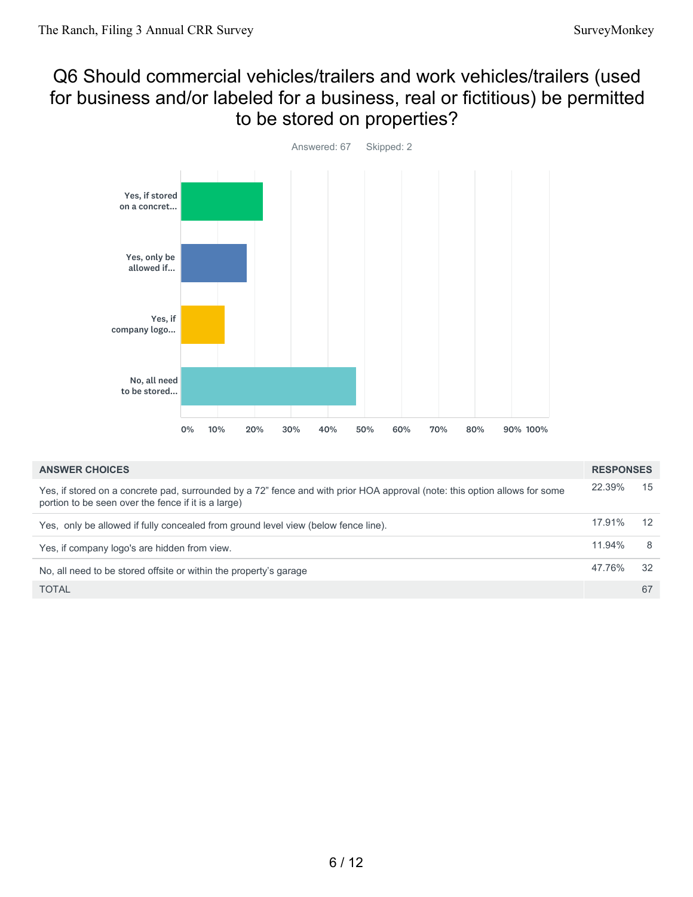#### Q6 Should commercial vehicles/trailers and work vehicles/trailers (used for business and/or labeled for a business, real or fictitious) be permitted to be stored on properties?



| <b>ANSWER CHOICES</b>                                                                                                                                                             | <b>RESPONSES</b> |    |
|-----------------------------------------------------------------------------------------------------------------------------------------------------------------------------------|------------------|----|
| Yes, if stored on a concrete pad, surrounded by a 72" fence and with prior HOA approval (note: this option allows for some<br>portion to be seen over the fence if it is a large) | 22.39%           | 15 |
| Yes, only be allowed if fully concealed from ground level view (below fence line).                                                                                                | 17.91%           | 12 |
| Yes, if company logo's are hidden from view.                                                                                                                                      | $11.94\%$        | 8  |
| No, all need to be stored offsite or within the property's garage                                                                                                                 | 47.76%           | 32 |
| <b>TOTAL</b>                                                                                                                                                                      |                  | 67 |
|                                                                                                                                                                                   |                  |    |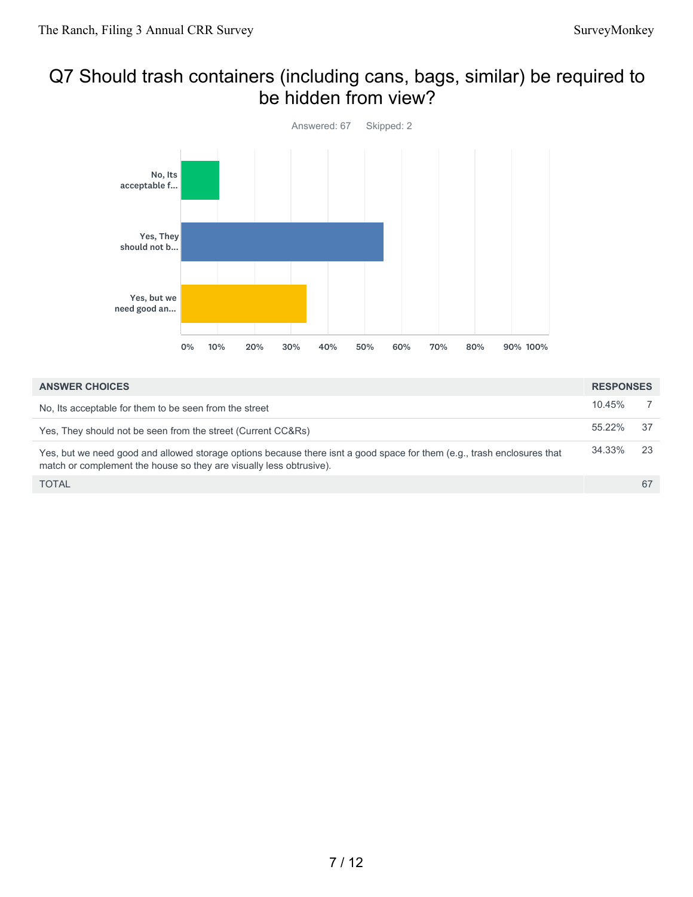#### Q7 Should trash containers (including cans, bags, similar) be required to be hidden from view?



| <b>ANSWER CHOICES</b>                                                                                                                                                                          | <b>RESPONSES</b> |     |
|------------------------------------------------------------------------------------------------------------------------------------------------------------------------------------------------|------------------|-----|
| No, its acceptable for them to be seen from the street                                                                                                                                         | 10.45%           |     |
| Yes, They should not be seen from the street (Current CC&Rs)                                                                                                                                   | 55.22%           | .37 |
| Yes, but we need good and allowed storage options because there isnt a good space for them (e.g., trash enclosures that<br>match or complement the house so they are visually less obtrusive). | 34.33%           | -23 |
| <b>TOTAL</b>                                                                                                                                                                                   |                  | 67  |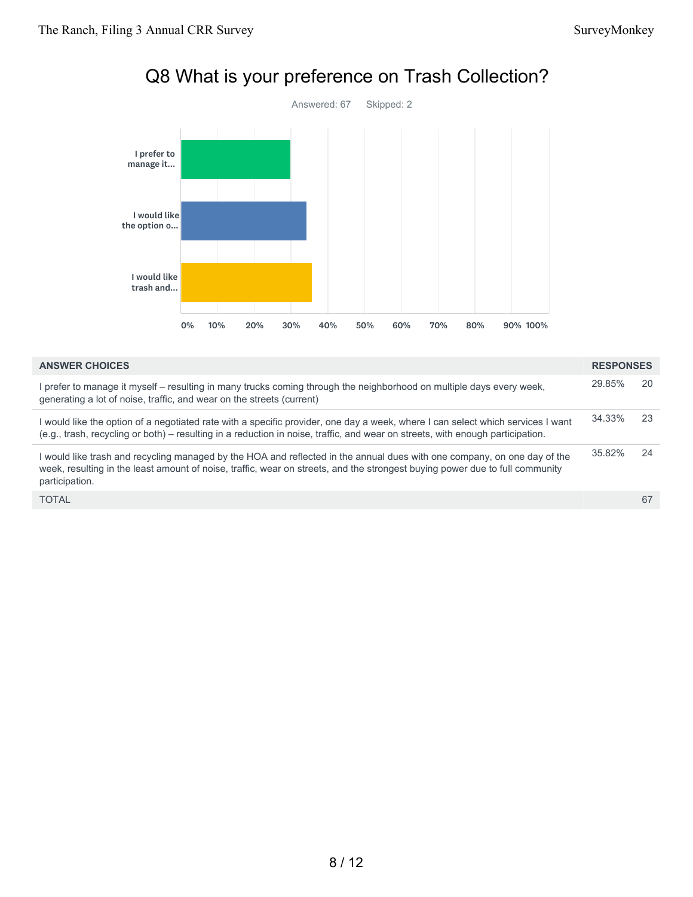

## Q8 What is your preference on Trash Collection?

| <b>ANSWER CHOICES</b>                                                                                                                                                                                                                                                      | <b>RESPONSES</b> |     |
|----------------------------------------------------------------------------------------------------------------------------------------------------------------------------------------------------------------------------------------------------------------------------|------------------|-----|
| I prefer to manage it myself - resulting in many trucks coming through the neighborhood on multiple days every week,<br>generating a lot of noise, traffic, and wear on the streets (current)                                                                              | 29.85%           | 20  |
| I would like the option of a negotiated rate with a specific provider, one day a week, where I can select which services I want<br>(e.g., trash, recycling or both) – resulting in a reduction in noise, traffic, and wear on streets, with enough participation.          | 34.33%           | -23 |
| I would like trash and recycling managed by the HOA and reflected in the annual dues with one company, on one day of the<br>week, resulting in the least amount of noise, traffic, wear on streets, and the strongest buying power due to full community<br>participation. | 35.82%           | 24  |
| <b>TOTAL</b>                                                                                                                                                                                                                                                               |                  | 67  |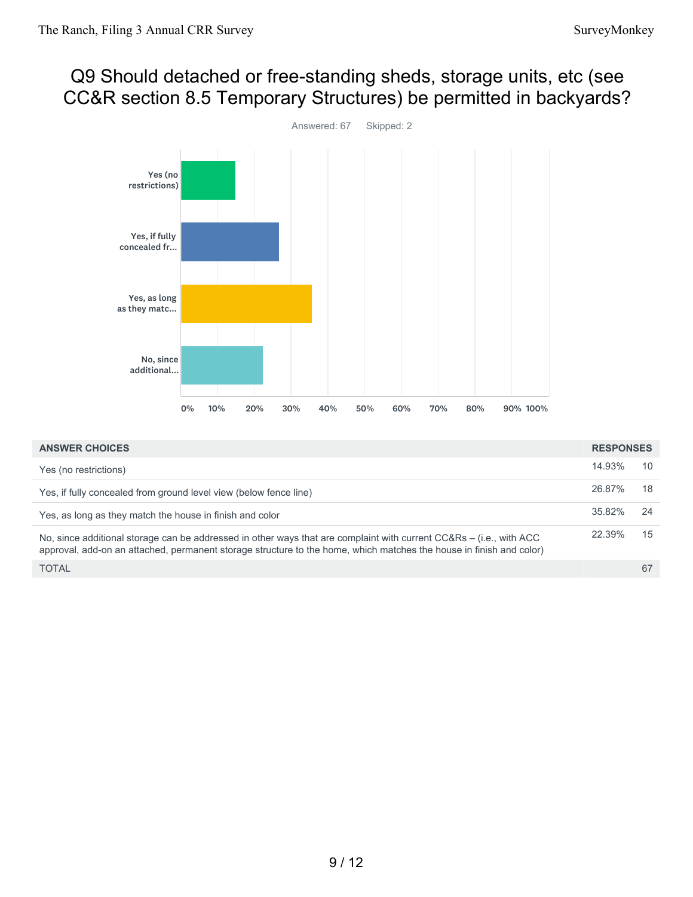## Q9 Should detached or free-standing sheds, storage units, etc (see CC&R section 8.5 Temporary Structures) be permitted in backyards?



| <b>ANSWER CHOICES</b>                                                                                                                                                                                                                      | <b>RESPONSES</b> |    |
|--------------------------------------------------------------------------------------------------------------------------------------------------------------------------------------------------------------------------------------------|------------------|----|
| Yes (no restrictions)                                                                                                                                                                                                                      | 14.93%           | 10 |
| Yes, if fully concealed from ground level view (below fence line)                                                                                                                                                                          | 26.87%           | 18 |
| Yes, as long as they match the house in finish and color                                                                                                                                                                                   | 35.82%           | 24 |
| No, since additional storage can be addressed in other ways that are complaint with current CC&Rs – (i.e., with ACC<br>approval, add-on an attached, permanent storage structure to the home, which matches the house in finish and color) | 22.39%           | 15 |
| <b>TOTAL</b>                                                                                                                                                                                                                               |                  | 67 |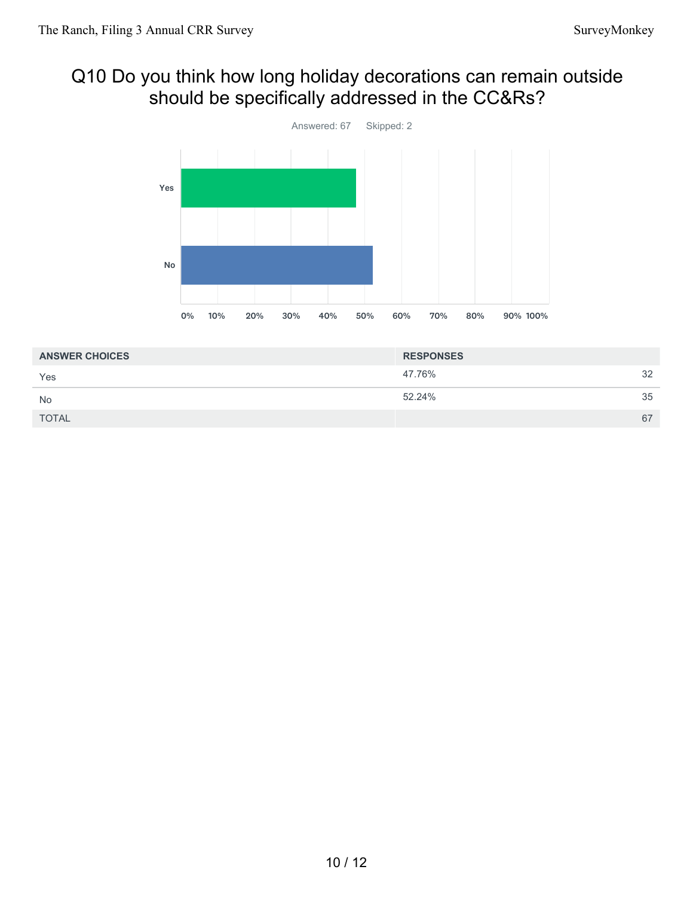## Q10 Do you think how long holiday decorations can remain outside should be specifically addressed in the CC&Rs?



| <b>ANSWER CHOICES</b> | <b>RESPONSES</b> |    |
|-----------------------|------------------|----|
| Yes                   | 47.76%           | 32 |
| <b>No</b>             | 52.24%           | 35 |
| <b>TOTAL</b>          |                  | 67 |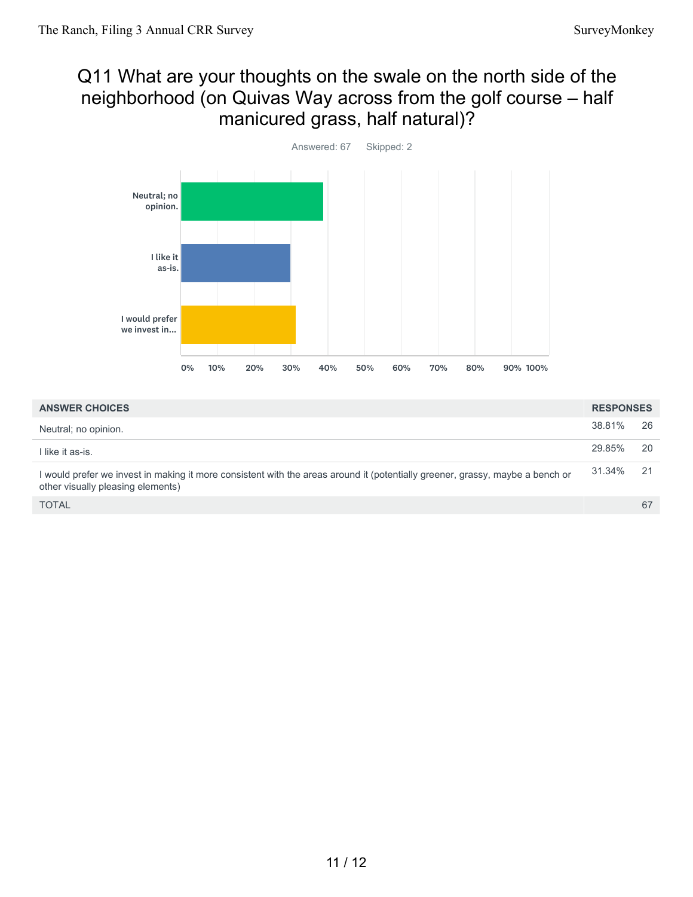## Q11 What are your thoughts on the swale on the north side of the neighborhood (on Quivas Way across from the golf course – half manicured grass, half natural)?



| <b>ANSWER CHOICES</b>                                                                                                                                              | <b>RESPONSES</b> |      |
|--------------------------------------------------------------------------------------------------------------------------------------------------------------------|------------------|------|
| Neutral; no opinion.                                                                                                                                               | 38.81%           | 26   |
| I like it as-is.                                                                                                                                                   | 29.85%           | 20   |
| I would prefer we invest in making it more consistent with the areas around it (potentially greener, grassy, maybe a bench or<br>other visually pleasing elements) | 31.34%           | - 21 |
| <b>TOTAL</b>                                                                                                                                                       |                  | 67   |